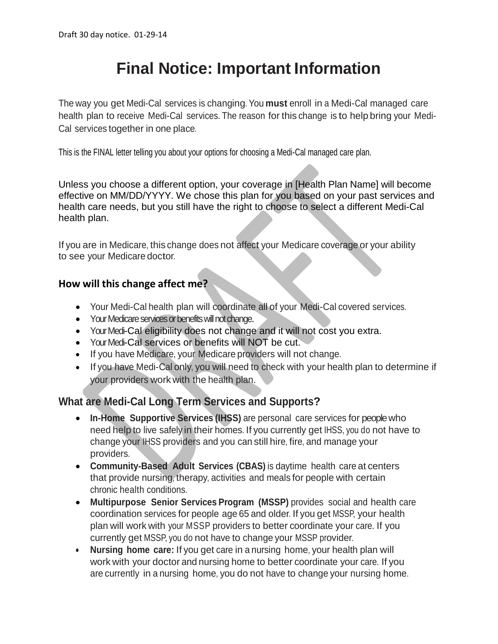# **Final Notice: Important Information**

The way you get Medi-Cal services is changing. You **must** enroll in a Medi-Cal managed care health plan to receive Medi-Cal services. The reason for this change is to help bring your Medi-Cal services together in one place.

This is the FINAL letter telling you about your options for choosing a Medi-Cal managed care plan.

Unless you choose a different option, your coverage in [Health Plan Name] will become effective on MM/DD/YYYY. We chose this plan for you based on your past services and health care needs, but you still have the right to choose to select a different Medi-Cal health plan.

If you are in Medicare, this change does not affect your Medicare coverage or your ability to see your Medicare doctor.

## **How will this change affect me?**

- Your Medi-Cal health plan will coordinate all of your Medi-Cal covered services.
- Your Medicare services or benefits will not change.
- Your Medi-Cal eligibility does not change and it will not cost you extra.
- Your Medi-Cal services or benefits will NOT be cut.
- If you have Medicare, your Medicare providers will not change.
- If you have Medi-Cal only, you will need to check with your health plan to determine if your providers work with the health plan.

## **What are Medi-Cal Long Term Services and Supports?**

- **In-Home Supportive Services (IHSS)** are personal care services for peoplewho need help to live safely in their homes. If you currently get IHSS, you do not have to change your IHSS providers and you can still hire, fire, and manage your providers.
- **Community-Based Adult Services (CBAS)** is daytime health care at centers that provide nursing, therapy, activities and meals for people with certain chronic health conditions.
- **Multipurpose Senior Services Program (MSSP)** provides social and health care coordination services for people age 65 and older. If you get MSSP, your health plan will work with your MSSP providers to better coordinate your care. If you currently get MSSP, you do not have to change your MSSP provider.
- **Nursing home care:** If you get care in a nursing home, your health plan will work with your doctor and nursing home to better coordinate your care. If you are currently in a nursing home, you do not have to change your nursing home.